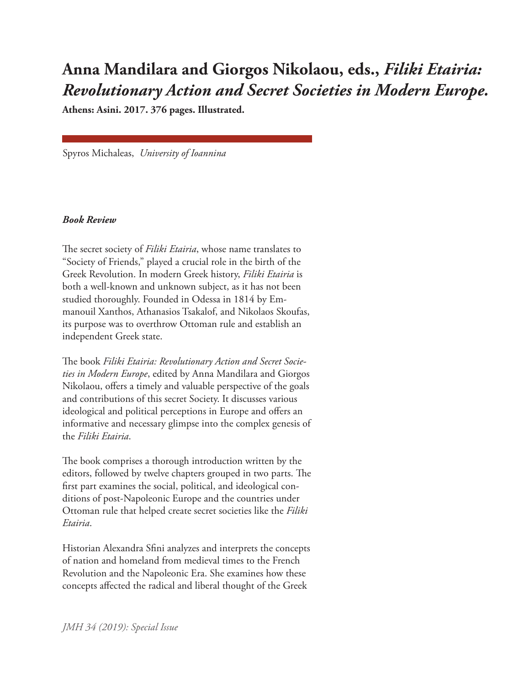## **Anna Mandilara and Giorgos Nikolaou, eds.,** *Filiki Etairia: Revolutionary Action and Secret Societies in Modern Europe.*

**Athens: Asini. 2017. 376 pages. Illustrated.**

Spyros Michaleas, *University of Ioannina*

## *Book Review*

The secret society of *Filiki Etairia*, whose name translates to "Society of Friends," played a crucial role in the birth of the Greek Revolution. In modern Greek history, *Filiki Etairia* is both a well-known and unknown subject, as it has not been studied thoroughly. Founded in Odessa in 1814 by Emmanouil Xanthos, Athanasios Tsakalof, and Nikolaos Skoufas, its purpose was to overthrow Ottoman rule and establish an independent Greek state.

The book *Filiki Etairia: Revolutionary Action and Secret Societies in Modern Europe*, edited by Anna Mandilara and Giorgos Nikolaou, offers a timely and valuable perspective of the goals and contributions of this secret Society. It discusses various ideological and political perceptions in Europe and offers an informative and necessary glimpse into the complex genesis of the *Filiki Etairia*.

The book comprises a thorough introduction written by the editors, followed by twelve chapters grouped in two parts. The first part examines the social, political, and ideological conditions of post-Napoleonic Europe and the countries under Ottoman rule that helped create secret societies like the *Filiki Etairia*.

Historian Alexandra Sfini analyzes and interprets the concepts of nation and homeland from medieval times to the French Revolution and the Napoleonic Era. She examines how these concepts affected the radical and liberal thought of the Greek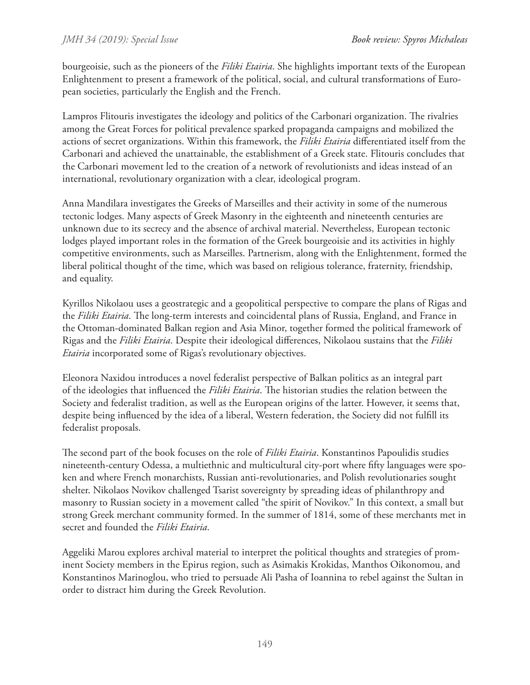bourgeoisie, such as the pioneers of the *Filiki Etairia*. She highlights important texts of the European Enlightenment to present a framework of the political, social, and cultural transformations of European societies, particularly the English and the French.

Lampros Flitouris investigates the ideology and politics of the Carbonari organization. The rivalries among the Great Forces for political prevalence sparked propaganda campaigns and mobilized the actions of secret organizations. Within this framework, the *Filiki Etairia* differentiated itself from the Carbonari and achieved the unattainable, the establishment of a Greek state. Flitouris concludes that the Carbonari movement led to the creation of a network of revolutionists and ideas instead of an international, revolutionary organization with a clear, ideological program.

Anna Mandilara investigates the Greeks of Marseilles and their activity in some of the numerous tectonic lodges. Many aspects of Greek Masonry in the eighteenth and nineteenth centuries are unknown due to its secrecy and the absence of archival material. Nevertheless, European tectonic lodges played important roles in the formation of the Greek bourgeoisie and its activities in highly competitive environments, such as Marseilles. Partnerism, along with the Enlightenment, formed the liberal political thought of the time, which was based on religious tolerance, fraternity, friendship, and equality.

Kyrillos Nikolaou uses a geostrategic and a geopolitical perspective to compare the plans of Rigas and the *Filiki Etairia*. The long-term interests and coincidental plans of Russia, England, and France in the Ottoman-dominated Balkan region and Asia Minor, together formed the political framework of Rigas and the *Filiki Etairia*. Despite their ideological differences, Nikolaou sustains that the *Filiki Etairia* incorporated some of Rigas's revolutionary objectives.

Eleonora Naxidou introduces a novel federalist perspective of Balkan politics as an integral part of the ideologies that influenced the *Filiki Etairia*. The historian studies the relation between the Society and federalist tradition, as well as the European origins of the latter. However, it seems that, despite being influenced by the idea of a liberal, Western federation, the Society did not fulfill its federalist proposals.

The second part of the book focuses on the role of *Filiki Etairia*. Konstantinos Papoulidis studies nineteenth-century Odessa, a multiethnic and multicultural city-port where fifty languages were spoken and where French monarchists, Russian anti-revolutionaries, and Polish revolutionaries sought shelter. Nikolaos Novikov challenged Tsarist sovereignty by spreading ideas of philanthropy and masonry to Russian society in a movement called "the spirit of Novikov." In this context, a small but strong Greek merchant community formed. In the summer of 1814, some of these merchants met in secret and founded the *Filiki Etairia*.

Aggeliki Marou explores archival material to interpret the political thoughts and strategies of prominent Society members in the Epirus region, such as Asimakis Krokidas, Manthos Oikonomou, and Konstantinos Marinoglou, who tried to persuade Ali Pasha of Ioannina to rebel against the Sultan in order to distract him during the Greek Revolution.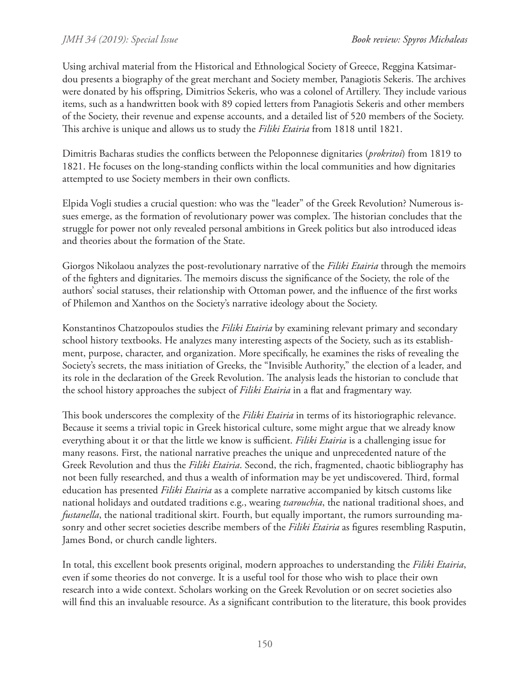Using archival material from the Historical and Ethnological Society of Greece, Reggina Katsimardou presents a biography of the great merchant and Society member, Panagiotis Sekeris. The archives were donated by his offspring, Dimitrios Sekeris, who was a colonel of Artillery. They include various items, such as a handwritten book with 89 copied letters from Panagiotis Sekeris and other members of the Society, their revenue and expense accounts, and a detailed list of 520 members of the Society. This archive is unique and allows us to study the *Filiki Etairia* from 1818 until 1821.

Dimitris Bacharas studies the conflicts between the Peloponnese dignitaries (*prokritoi*) from 1819 to 1821. He focuses on the long-standing conflicts within the local communities and how dignitaries attempted to use Society members in their own conflicts.

Elpida Vogli studies a crucial question: who was the "leader" of the Greek Revolution? Numerous issues emerge, as the formation of revolutionary power was complex. The historian concludes that the struggle for power not only revealed personal ambitions in Greek politics but also introduced ideas and theories about the formation of the State.

Giorgos Nikolaou analyzes the post-revolutionary narrative of the *Filiki Etairia* through the memoirs of the fighters and dignitaries. The memoirs discuss the significance of the Society, the role of the authors' social statuses, their relationship with Ottoman power, and the influence of the first works of Philemon and Xanthos on the Society's narrative ideology about the Society.

Konstantinos Chatzopoulos studies the *Filiki Etairia* by examining relevant primary and secondary school history textbooks. He analyzes many interesting aspects of the Society, such as its establishment, purpose, character, and organization. More specifically, he examines the risks of revealing the Society's secrets, the mass initiation of Greeks, the "Invisible Authority," the election of a leader, and its role in the declaration of the Greek Revolution. The analysis leads the historian to conclude that the school history approaches the subject of *Filiki Etairia* in a flat and fragmentary way.

This book underscores the complexity of the *Filiki Etairia* in terms of its historiographic relevance. Because it seems a trivial topic in Greek historical culture, some might argue that we already know everything about it or that the little we know is sufficient. *Filiki Etairia* is a challenging issue for many reasons. First, the national narrative preaches the unique and unprecedented nature of the Greek Revolution and thus the *Filiki Etairia*. Second, the rich, fragmented, chaotic bibliography has not been fully researched, and thus a wealth of information may be yet undiscovered. Third, formal education has presented *Filiki Etairia* as a complete narrative accompanied by kitsch customs like national holidays and outdated traditions e.g., wearing *tsarouchia*, the national traditional shoes, and *fustanella*, the national traditional skirt. Fourth, but equally important, the rumors surrounding masonry and other secret societies describe members of the *Filiki Etairia* as figures resembling Rasputin, James Bond, or church candle lighters.

In total, this excellent book presents original, modern approaches to understanding the *Filiki Etairia*, even if some theories do not converge. It is a useful tool for those who wish to place their own research into a wide context. Scholars working on the Greek Revolution or on secret societies also will find this an invaluable resource. As a significant contribution to the literature, this book provides